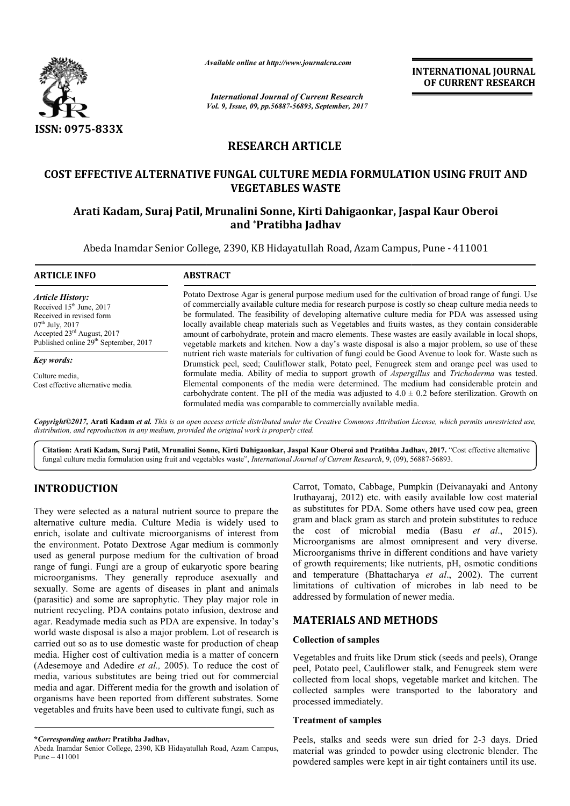

*Available online at http://www.journal http://www.journalcra.com*

# **RESEARCH ARTICLE**

# **COST EFFECTIVE ALTERNATIVE FUNGAL CULTURE MEDIA FORMULATION USING FRUIT AND Arati Kadam, Suraj Patil, Mrunalini Sonne, Kirti Dahigaonkar, Jaspal Kaur Oberoi USING FRUIT Kirti Dahigaonkar, Jaspal OberoiVEGETABLES WASTE**

# **and \*Pratibha Jadhav**

|                                                                                                                                                                                                                                                                                                                                                                                                                                                                                                                                                                                                           | лтините опине иг пир.// www.journuicru.com                                                                                                                                                                                                                                                                                                                                                                                                                                                                                                                                                                                                 |                                                                                                        | <b>INTERNATIONAL JOURNAL</b><br>OF CURRENT RESEARCH                                                                                                                                                                                                                                                                                                                                                                                                                                                                                                                                                                                       |  |  |
|-----------------------------------------------------------------------------------------------------------------------------------------------------------------------------------------------------------------------------------------------------------------------------------------------------------------------------------------------------------------------------------------------------------------------------------------------------------------------------------------------------------------------------------------------------------------------------------------------------------|--------------------------------------------------------------------------------------------------------------------------------------------------------------------------------------------------------------------------------------------------------------------------------------------------------------------------------------------------------------------------------------------------------------------------------------------------------------------------------------------------------------------------------------------------------------------------------------------------------------------------------------------|--------------------------------------------------------------------------------------------------------|-------------------------------------------------------------------------------------------------------------------------------------------------------------------------------------------------------------------------------------------------------------------------------------------------------------------------------------------------------------------------------------------------------------------------------------------------------------------------------------------------------------------------------------------------------------------------------------------------------------------------------------------|--|--|
|                                                                                                                                                                                                                                                                                                                                                                                                                                                                                                                                                                                                           |                                                                                                                                                                                                                                                                                                                                                                                                                                                                                                                                                                                                                                            | <b>International Journal of Current Research</b><br>Vol. 9, Issue, 09, pp.56887-56893, September, 2017 |                                                                                                                                                                                                                                                                                                                                                                                                                                                                                                                                                                                                                                           |  |  |
| <b>ISSN: 0975-833X</b>                                                                                                                                                                                                                                                                                                                                                                                                                                                                                                                                                                                    |                                                                                                                                                                                                                                                                                                                                                                                                                                                                                                                                                                                                                                            |                                                                                                        |                                                                                                                                                                                                                                                                                                                                                                                                                                                                                                                                                                                                                                           |  |  |
|                                                                                                                                                                                                                                                                                                                                                                                                                                                                                                                                                                                                           | <b>RESEARCH ARTICLE</b>                                                                                                                                                                                                                                                                                                                                                                                                                                                                                                                                                                                                                    |                                                                                                        |                                                                                                                                                                                                                                                                                                                                                                                                                                                                                                                                                                                                                                           |  |  |
|                                                                                                                                                                                                                                                                                                                                                                                                                                                                                                                                                                                                           |                                                                                                                                                                                                                                                                                                                                                                                                                                                                                                                                                                                                                                            | <b>VEGETABLES WASTE</b>                                                                                | COST EFFECTIVE ALTERNATIVE FUNGAL CULTURE MEDIA FORMULATION USING FRUIT AND                                                                                                                                                                                                                                                                                                                                                                                                                                                                                                                                                               |  |  |
|                                                                                                                                                                                                                                                                                                                                                                                                                                                                                                                                                                                                           | Arati Kadam, Suraj Patil, Mrunalini Sonne, Kirti Dahigaonkar, Jaspal Kaur Oberoi                                                                                                                                                                                                                                                                                                                                                                                                                                                                                                                                                           | and *Pratibha Jadhav                                                                                   |                                                                                                                                                                                                                                                                                                                                                                                                                                                                                                                                                                                                                                           |  |  |
|                                                                                                                                                                                                                                                                                                                                                                                                                                                                                                                                                                                                           | Abeda Inamdar Senior College, 2390, KB Hidayatullah Road, Azam Campus, Pune - 411001                                                                                                                                                                                                                                                                                                                                                                                                                                                                                                                                                       |                                                                                                        |                                                                                                                                                                                                                                                                                                                                                                                                                                                                                                                                                                                                                                           |  |  |
| <b>ARTICLE INFO</b>                                                                                                                                                                                                                                                                                                                                                                                                                                                                                                                                                                                       | <b>ABSTRACT</b>                                                                                                                                                                                                                                                                                                                                                                                                                                                                                                                                                                                                                            |                                                                                                        |                                                                                                                                                                                                                                                                                                                                                                                                                                                                                                                                                                                                                                           |  |  |
| <b>Article History:</b><br>Received 15 <sup>th</sup> June, 2017<br>Received in revised form<br>$07th$ July, 2017<br>Accepted 23 <sup>rd</sup> August, 2017<br>Published online 29 <sup>th</sup> September, 2017                                                                                                                                                                                                                                                                                                                                                                                           | Potato Dextrose Agar is general purpose medium used for the cultivation of broad range of fungi. Use<br>of commercially available culture media for research purpose is costly so cheap culture media needs to<br>be formulated. The feasibility of developing alternative culture media for PDA was assessed using<br>locally available cheap materials such as Vegetables and fruits wastes, as they contain considerable<br>amount of carbohydrate, protein and macro elements. These wastes are easily available in local shops,<br>vegetable markets and kitchen. Now a day's waste disposal is also a major problem, so use of these |                                                                                                        |                                                                                                                                                                                                                                                                                                                                                                                                                                                                                                                                                                                                                                           |  |  |
| Key words:<br>Culture media,<br>Cost effective alternative media.                                                                                                                                                                                                                                                                                                                                                                                                                                                                                                                                         | nutrient rich waste materials for cultivation of fungi could be Good Avenue to look for. Waste such as<br>Drumstick peel, seed; Cauliflower stalk, Potato peel, Fenugreek stem and orange peel was used to<br>formulate media. Ability of media to support growth of Aspergillus and Trichoderma was tested.<br>Elemental components of the media were determined. The medium had considerable protein and<br>carbohydrate content. The pH of the media was adjusted to $4.0 \pm 0.2$ before sterilization. Growth on<br>formulated media was comparable to commercially available media.                                                  |                                                                                                        |                                                                                                                                                                                                                                                                                                                                                                                                                                                                                                                                                                                                                                           |  |  |
| distribution, and reproduction in any medium, provided the original work is properly cited.<br>fungal culture media formulation using fruit and vegetables waste", International Journal of Current Research, 9, (09), 56887-56893.                                                                                                                                                                                                                                                                                                                                                                       |                                                                                                                                                                                                                                                                                                                                                                                                                                                                                                                                                                                                                                            |                                                                                                        | Copyright©2017, Arati Kadam et al. This is an open access article distributed under the Creative Commons Attribution License, which permits unrestricted use,<br>Citation: Arati Kadam, Suraj Patil, Mrunalini Sonne, Kirti Dahigaonkar, Jaspal Kaur Oberoi and Pratibha Jadhav, 2017. "Cost effective alternative                                                                                                                                                                                                                                                                                                                        |  |  |
| <b>INTRODUCTION</b><br>They were selected as a natural nutrient source to prepare the<br>alternative culture media. Culture Media is widely used to<br>enrich, isolate and cultivate microorganisms of interest from<br>the environment. Potato Dextrose Agar medium is commonly<br>used as general purpose medium for the cultivation of broad<br>range of fungi. Fungi are a group of eukaryotic spore bearing<br>microorganisms. They generally reproduce asexually and<br>sexually. Some are agents of diseases in plant and animals<br>(parasitic) and some are saprophytic. They play major role in |                                                                                                                                                                                                                                                                                                                                                                                                                                                                                                                                                                                                                                            | addressed by formulation of newer media.                                                               | Carrot, Tomato, Cabbage, Pumpkin (Deivanayaki and Antony<br>Iruthayaraj, 2012) etc. with easily available low cost material<br>as substitutes for PDA. Some others have used cow pea, green<br>gram and black gram as starch and protein substitutes to reduce<br>the cost of microbial media (Basu et al., 2015).<br>Microorganisms are almost omnipresent and very diverse.<br>Microorganisms thrive in different conditions and have variety<br>of growth requirements; like nutrients, pH, osmotic conditions<br>and temperature (Bhattacharya et al., 2002). The current<br>limitations of cultivation of microbes in lab need to be |  |  |
| nutrient recycling. PDA contains potato infusion, dextrose and<br>agar. Readymade media such as PDA are expensive. In today's                                                                                                                                                                                                                                                                                                                                                                                                                                                                             |                                                                                                                                                                                                                                                                                                                                                                                                                                                                                                                                                                                                                                            | <b>MATERIALS AND METHODS</b>                                                                           |                                                                                                                                                                                                                                                                                                                                                                                                                                                                                                                                                                                                                                           |  |  |
| world waste disposal is also a major problem. Lot of research is<br>carried out so as to use domestic waste for production of cheap                                                                                                                                                                                                                                                                                                                                                                                                                                                                       |                                                                                                                                                                                                                                                                                                                                                                                                                                                                                                                                                                                                                                            | <b>Collection of samples</b>                                                                           |                                                                                                                                                                                                                                                                                                                                                                                                                                                                                                                                                                                                                                           |  |  |
| media. Higher cost of cultivation media is a matter of concern<br>(Adesemoye and Adedire et al., 2005). To reduce the cost of<br>media, various substitutes are being tried out for commercial<br>media and agar. Different media for the growth and isolation of<br>organisms have been reported from different substrates. Some<br>vegetables and fruits have been used to cultivate fungi, such as                                                                                                                                                                                                     |                                                                                                                                                                                                                                                                                                                                                                                                                                                                                                                                                                                                                                            | processed immediately.                                                                                 | Vegetables and fruits like Drum stick (seeds and peels), Orange<br>peel, Potato peel, Cauliflower stalk, and Fenugreek stem were<br>collected from local shops, vegetable market and kitchen. The<br>collected samples were transported to the laboratory and                                                                                                                                                                                                                                                                                                                                                                             |  |  |
|                                                                                                                                                                                                                                                                                                                                                                                                                                                                                                                                                                                                           |                                                                                                                                                                                                                                                                                                                                                                                                                                                                                                                                                                                                                                            | <b>Treatment of samples</b>                                                                            |                                                                                                                                                                                                                                                                                                                                                                                                                                                                                                                                                                                                                                           |  |  |
| *Corresponding author: Pratibha Jadhav,<br>Abeda Inamdar Senior College, 2390, KB Hidayatullah Road, Azam Campus,<br>Pune $-411001$                                                                                                                                                                                                                                                                                                                                                                                                                                                                       |                                                                                                                                                                                                                                                                                                                                                                                                                                                                                                                                                                                                                                            |                                                                                                        | Peels, stalks and seeds were sun dried for 2-3 days. Dried<br>material was grinded to powder using electronic blender. The<br>powdered samples were kept in air tight containers until its use.                                                                                                                                                                                                                                                                                                                                                                                                                                           |  |  |

## **INTRODUCTION**

### **MATERIALS AND METHODS METHODS**

#### **Collection of samples**

#### **Treatment of samples**

**<sup>\*</sup>***Corresponding author:* **Pratibha Jadhav,**

Abeda Inamdar Senior College, 2390, KB Hidayatullah Road, Azam Campus, Pune – 411001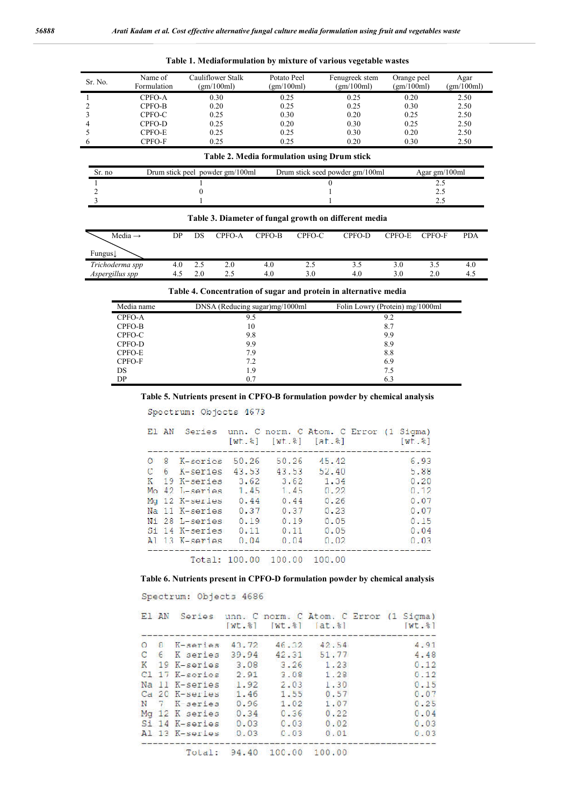| Sr. No. | Name of<br>Formulation | Cauliflower Stalk<br>(gm/100ml) | Potato Peel<br>(gm/100ml) | Fenugreek stem<br>(gm/100ml) | Orange peel<br>(gm/100ml) | Agar<br>(gm/100ml) |
|---------|------------------------|---------------------------------|---------------------------|------------------------------|---------------------------|--------------------|
|         | CPFO-A                 | 0.30                            | 0.25                      | 0.25                         | 0.20                      | 2.50               |
|         | CPFO-B                 | 0.20                            | 0.25                      | 0.25                         | 0.30                      | 2.50               |
|         | CPFO-C                 | 0.25                            | 0.30                      | 0.20                         | 0.25                      | 2.50               |
| 4       | CPFO-D                 | 0.25                            | 0.20                      | 0.30                         | 0.25                      | 2.50               |
|         | CPFO-E                 | 0.25                            | 0.25                      | 0.30                         | 0.20                      | 2.50               |
| b       | CPFO-F                 | 0.25                            | 0.25                      | 0.20                         | 0.30                      | 2.50               |

|  |  | Table 1. Mediaformulation by mixture of various vegetable wastes |  |  |  |  |  |
|--|--|------------------------------------------------------------------|--|--|--|--|--|
|--|--|------------------------------------------------------------------|--|--|--|--|--|

#### **Table 2. Media formulation using Drum stick**

| Sr. no | Drum stick peel powder gm/100ml | Drum stick seed powder gm/100ml | Agar $gm/100ml$ |
|--------|---------------------------------|---------------------------------|-----------------|
|        |                                 |                                 |                 |
|        |                                 |                                 |                 |
|        |                                 |                                 |                 |

|  |        |        |        | Table 3. Diameter of fungal growth on different media |               |            |
|--|--------|--------|--------|-------------------------------------------------------|---------------|------------|
|  | CPFO-A | CPFO-B | CPFO-C | CPFO-D                                                | CPFO-E CPFO-F | <b>PDA</b> |

| www<br>Fungus   | ╜    | ້    | $C_{11}C_{11}$ | ⊂u u~b     | $\mathsf{C}$ | $C110-1$ | C110E | - 0.10-1   | $1 + \sqrt{2}$ |
|-----------------|------|------|----------------|------------|--------------|----------|-------|------------|----------------|
| Trichoderma spp | 4.0  | ن. ت |                | 4.U<br>4.0 | ر. ت<br>3.0  | 4.0      |       | ت ر<br>2.0 | 4.0            |
| Aspergillus spp | т. . | 2.J  | ر. پ           |            |              |          |       |            | 4.5            |

**Table 4. Concentration of sugar and protein in alternative media**

| Media name | DNSA (Reducing sugar)mg/1000ml | Folin Lowry (Protein) mg/1000ml |
|------------|--------------------------------|---------------------------------|
| CPFO-A     | 9.5                            | 9.2                             |
| CPFO-B     | 10                             | 8.7                             |
| CPFO-C     | 9.8                            | 9.9                             |
| CPFO-D     | 9.9                            | 8.9                             |
| CPFO-E     | 7.9                            | 8.8                             |
| CPFO-F     | 7.2                            | 6.9                             |
| DS         | 1.9                            | 7.5                             |
| DP         | 0.7                            | 6.3                             |

**Table 5. Nutrients present in CPFO-B formulation powder by chemical analysis**

Spectrum: Objects 1673

 $M$ edia  $\rightarrow$ 

|         |                      |       |       |       | El AN Series unn. C norm. C Atom. C Error (1 Sigma)<br>$[wt, *]$ $[wt, *]$ $[at, *]$<br>$wt.$ $%$ |
|---------|----------------------|-------|-------|-------|---------------------------------------------------------------------------------------------------|
| $\circ$ | 8 K-series           | 50.26 | 50.26 | 45.42 | 6.93                                                                                              |
| C       | 6 K-series           | 43.53 | 43.53 | 52.40 | 5.88                                                                                              |
| K       | 19 K-series          | 3.62  | 3.62  | 1.34  | 0.20                                                                                              |
|         | $Mo$ 42 $I -$ series | 1.45  | 1.45  | 0.22  | 0.12                                                                                              |
|         | Mg 12 K-series       | 0.44  | 0.44  | 0.26  | 0.07                                                                                              |
|         | Na 11 K-series       | 0.37  | 0.37  | 0.23  | 0.07                                                                                              |
|         | Ni 28 L-series       | 0.19  | 0.19  | 0.05  | 0.15                                                                                              |
|         | Si 14 K-series       | 0.11  | 0.11  | 0.05  | 0.04                                                                                              |
|         | $A1$ 13 $K-sertes$   | 0.04  | 0.04  | 0.02  | 0.03                                                                                              |
|         |                      |       |       |       |                                                                                                   |

Total: 100.00 100.00 100.00

#### **Table 6. Nutrients present in CPFO-D formulation powder by chemical analysis**

Spectrum: Objects 4686

|  |                               |       |                            |                 | El AN Series unn. C norm. C Atom. C Error (1 Sigma)<br>$[wt, 8]$ $[wt, 8]$ $[at, 8]$<br>$Wt.$ $ $ |
|--|-------------------------------|-------|----------------------------|-----------------|---------------------------------------------------------------------------------------------------|
|  | O 8 K-series                  | 43.72 |                            | $46.32$ $42.54$ | 4.91                                                                                              |
|  | C 6 K series                  | 39.94 |                            | 42.31 51.77     | 4.48                                                                                              |
|  | K 19 K-series 3.08            |       | 3.26                       | 1.23            | 0.12                                                                                              |
|  | Cl 17 K-series                | 2.91  | 3.08                       | 1.28            | 0.12                                                                                              |
|  | Na 11 K-series 1.92           |       | 2.03                       | 1.30            | 0.15                                                                                              |
|  | Ca 20 K-series 1.46           |       | 1.55                       | 0.57            | 0.07                                                                                              |
|  | N 7 K-series 0.96 1.02        |       |                            | 1.07            | 0.25                                                                                              |
|  | Mg 12 K series 0.34 0.36 0.22 |       |                            |                 | 0.04                                                                                              |
|  | Si 14 K-series 0.03 0.03 0.02 |       |                            |                 | 0.03                                                                                              |
|  | Al 13 K-series                | 0.03  | 0.03                       | 0.01            | 0.03                                                                                              |
|  |                               |       | Total: 94.40 100.00 100.00 |                 |                                                                                                   |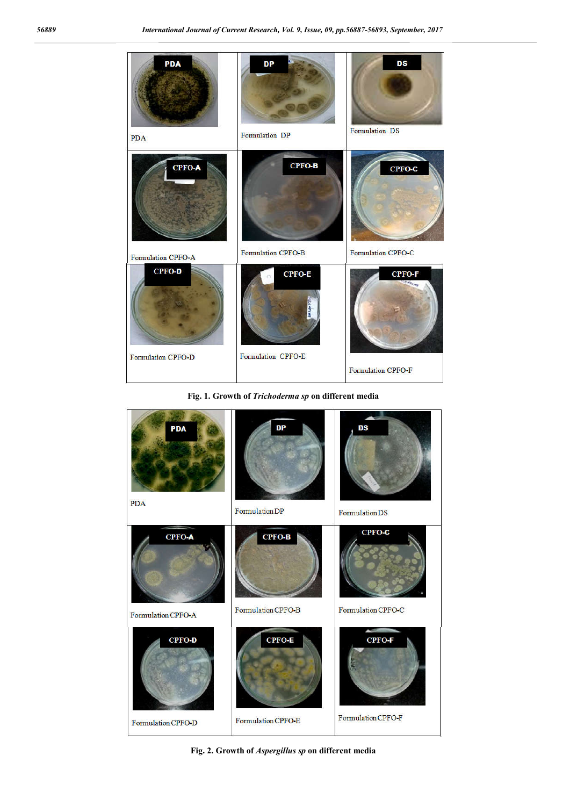| PDA                                 | DP                                       | DS                                  |
|-------------------------------------|------------------------------------------|-------------------------------------|
| <b>PDA</b>                          | Formulation DP                           | Formulation DS                      |
| CPFO-A                              | CPFO-B                                   | $CPPO-C$                            |
| Formulation CPFO-A                  | Formulation CPFO-B                       | Formulation CPFO-C                  |
| <b>CPFO-D</b><br>Formulation CPFO-D | <b>CPFO-E</b><br>È<br>Formulation CPFO-E | <b>CPFO-F</b><br>Formulation CPFO-F |

**Fig. 1. Growth of** *Trichoderma sp* **on different media**

| <b>PDA</b>         | DP                 | DS                 |
|--------------------|--------------------|--------------------|
| <b>PDA</b>         | Formulation DP     | Formulation DS     |
| <b>CPFO-A</b>      | CPFO-B             | CPFO-C             |
| Formulation CPFO-A | Formulation CPFO-B | Formulation CPFO-C |
| <b>CPFO-D</b>      | <b>CPFO-E</b>      | <b>CPFO-F</b>      |
| Formulation CPFO-D | Formulation CPFO-E | Formulation CPFO-F |

**Fig. 2. Growth of** *Aspergillus sp* **on different media**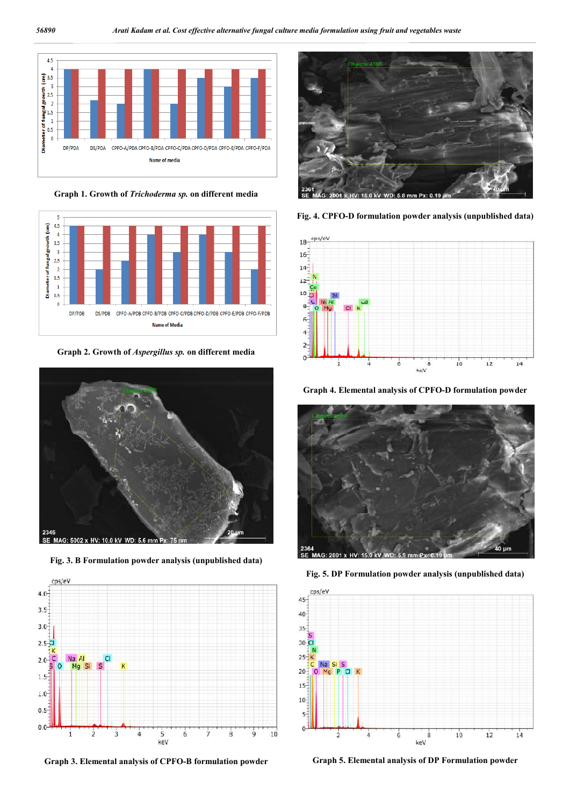

**Graph 1. Growth of** *Trichoderma sp.* **on different media**



**Graph 2. Growth of** *Aspergillus sp.* **on different media**



**Fig. 3. B Formulation powder analysis (unpublished data)**



**Graph 3. Elemental analysis of CPFO-B formulation powder**



**Fig. 4. CPFO-D formulation powder analysis (unpublished data)**



**Graph 4. Elemental analysis of CPFO-D formulation powder**



**Fig. 5. DP Formulation powder analysis (unpublished data)**



**Graph 5. Elemental analysis of DP Formulation powder**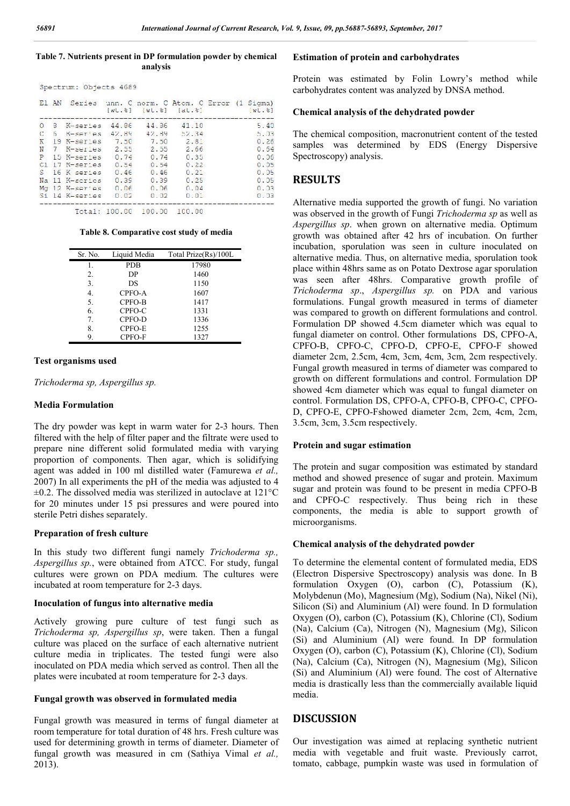#### **Table 7. Nutrients present in DP formulation powder by chemical analysis**

|  | Spectrum: Objects 4689 |  |
|--|------------------------|--|
|  |                        |  |

|              | E1 AN |                  |       |       |       | Series unn. C norm. C Atom. C Error (1 Sigma) | $Wt - s$ |
|--------------|-------|------------------|-------|-------|-------|-----------------------------------------------|----------|
| $\Omega$     | 8.    | K-series         | 44.86 | 44.86 | 41.10 |                                               | 5.40     |
| $\mathbf{C}$ | ĥ.    | K-series         | 42.89 | 42.89 | 12.34 |                                               | b.03     |
| K            |       | 19 K-series 7.50 |       | 7.50  | 2.81  |                                               | 0.26     |
| N            |       | 7 K-serles       | 2.55  | 2.55  | 2.66  |                                               | 0.54     |
| P            |       | 15 K-series      | 0.74  | 0.74  | 0.35  |                                               | 0.06     |
|              |       | Cl 17 K-series   | 0.54  | 0.54  | 0.22  |                                               | 0.05     |
| S.           |       | 16 K series      | 0.46  | 0.46  | 0.21  |                                               | 0.05     |
|              |       | Na 11 K-scries   | 0.39  | 0.39  | 0.25  |                                               | 0.05     |
|              |       | Mg 12 K-series   | 0.06  | 0.06  | 0.04  |                                               | 0.03     |
|              |       | Si 14 K-series   | 0.02  | 0.02  | 0.01  |                                               | 0.03     |
|              |       |                  |       |       |       |                                               |          |

Total: 100.00 100.00 100.00

#### **Table 8. Comparative cost study of media**

| Sr. No. | Liquid Media | Total Prize(Rs)/100L |
|---------|--------------|----------------------|
| 1.      | <b>PDB</b>   | 17980                |
| 2.      | DP           | 1460                 |
| 3.      | DS           | 1150                 |
| 4.      | CPFO-A       | 1607                 |
| 5.      | CPFO-B       | 1417                 |
| 6.      | CPFO-C       | 1331                 |
| 7.      | CPFO-D       | 1336                 |
| 8.      | CPFO-E       | 1255                 |
| 9.      | CPFO-F       | 1327                 |

#### **Test organisms used**

*Trichoderma sp, Aspergillus sp.*

#### **Media Formulation**

The dry powder was kept in warm water for 2-3 hours. Then filtered with the help of filter paper and the filtrate were used to prepare nine different solid formulated media with varying proportion of components. Then agar, which is solidifying agent was added in 100 ml distilled water (Famurewa *et al.,* 2007) In all experiments the pH of the media was adjusted to 4  $\pm$ 0.2. The dissolved media was sterilized in autoclave at 121 $\degree$ C for 20 minutes under 15 psi pressures and were poured into sterile Petri dishes separately.

#### **Preparation of fresh culture**

In this study two different fungi namely *Trichoderma sp., Aspergillus sp.*, were obtained from ATCC. For study, fungal cultures were grown on PDA medium. The cultures were incubated at room temperature for 2-3 days.

#### **Inoculation of fungus into alternative media**

Actively growing pure culture of test fungi such as *Trichoderma sp, Aspergillus sp*, were taken. Then a fungal culture was placed on the surface of each alternative nutrient culture media in triplicates. The tested fungi were also inoculated on PDA media which served as control. Then all the plates were incubated at room temperature for 2-3 days.

#### **Fungal growth was observed in formulated media**

Fungal growth was measured in terms of fungal diameter at room temperature for total duration of 48 hrs. Fresh culture was used for determining growth in terms of diameter. Diameter of fungal growth was measured in cm (Sathiya Vimal *et al.,* 2013).

#### **Estimation of protein and carbohydrates**

Protein was estimated by Folin Lowry's method while carbohydrates content was analyzed by DNSA method.

#### **Chemical analysis of the dehydrated powder**

The chemical composition, macronutrient content of the tested samples was determined by EDS (Energy Dispersive Spectroscopy) analysis.

#### **RESULTS**

Alternative media supported the growth of fungi. No variation was observed in the growth of Fungi *Trichoderma sp* as well as *Aspergillus sp*. when grown on alternative media. Optimum growth was obtained after 42 hrs of incubation. On further incubation, sporulation was seen in culture inoculated on alternative media. Thus, on alternative media, sporulation took place within 48hrs same as on Potato Dextrose agar sporulation was seen after 48hrs. Comparative growth profile of *Trichoderma sp*., *Aspergillus sp.* on PDA and various formulations. Fungal growth measured in terms of diameter was compared to growth on different formulations and control. Formulation DP showed 4.5cm diameter which was equal to fungal diameter on control. Other formulations DS, CPFO-A, CPFO-B, CPFO-C, CPFO-D, CPFO-E, CPFO-F showed diameter 2cm, 2.5cm, 4cm, 3cm, 4cm, 3cm, 2cm respectively. Fungal growth measured in terms of diameter was compared to growth on different formulations and control. Formulation DP showed 4cm diameter which was equal to fungal diameter on control. Formulation DS, CPFO-A, CPFO-B, CPFO-C, CPFO-D, CPFO-E, CPFO-Fshowed diameter 2cm, 2cm, 4cm, 2cm, 3.5cm, 3cm, 3.5cm respectively.

#### **Protein and sugar estimation**

The protein and sugar composition was estimated by standard method and showed presence of sugar and protein. Maximum sugar and protein was found to be present in media CPFO-B and CPFO-C respectively. Thus being rich in these components, the media is able to support growth of microorganisms.

#### **Chemical analysis of the dehydrated powder**

To determine the elemental content of formulated media, EDS (Electron Dispersive Spectroscopy) analysis was done. In B formulation Oxygen (O), carbon (C), Potassium (K), Molybdenun (Mo), Magnesium (Mg), Sodium (Na), Nikel (Ni), Silicon (Si) and Aluminium (Al) were found. In D formulation Oxygen (O), carbon (C), Potassium (K), Chlorine (Cl), Sodium (Na), Calcium (Ca), Nitrogen (N), Magnesium (Mg), Silicon (Si) and Aluminium (Al) were found. In DP formulation Oxygen (O), carbon (C), Potassium (K), Chlorine (Cl), Sodium (Na), Calcium (Ca), Nitrogen (N), Magnesium (Mg), Silicon (Si) and Aluminium (Al) were found. The cost of Alternative media is drastically less than the commercially available liquid media.

#### **DISCUSSION**

Our investigation was aimed at replacing synthetic nutrient media with vegetable and fruit waste. Previously carrot, tomato, cabbage, pumpkin waste was used in formulation of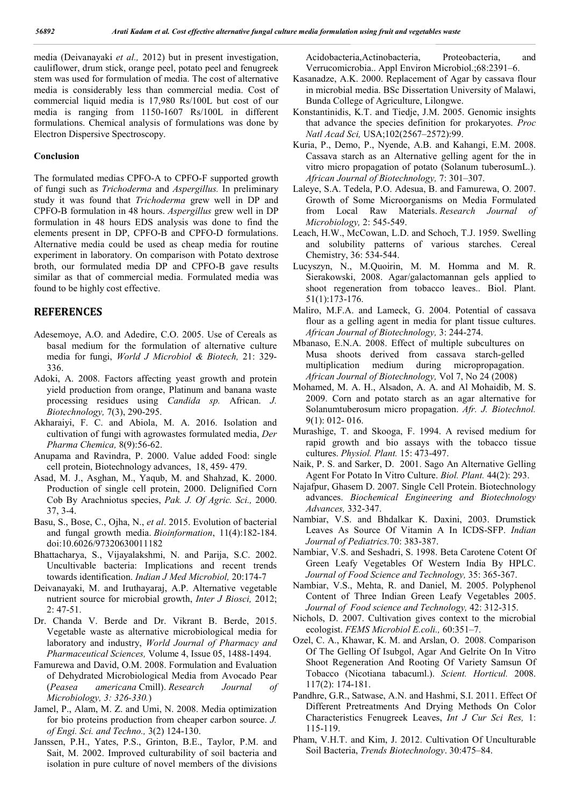media (Deivanayaki *et al.,* 2012) but in present investigation, cauliflower, drum stick, orange peel, potato peel and fenugreek stem was used for formulation of media. The cost of alternative media is considerably less than commercial media. Cost of commercial liquid media is 17,980 Rs/100L but cost of our media is ranging from 1150-1607 Rs/100L in different formulations. Chemical analysis of formulations was done by Electron Dispersive Spectroscopy.

#### **Conclusion**

The formulated medias CPFO-A to CPFO-F supported growth of fungi such as *Trichoderma* and *Aspergillus.* In preliminary study it was found that *Trichoderma* grew well in DP and CPFO-B formulation in 48 hours. *Aspergillus* grew well in DP formulation in 48 hours EDS analysis was done to find the elements present in DP, CPFO-B and CPFO-D formulations. Alternative media could be used as cheap media for routine experiment in laboratory. On comparison with Potato dextrose broth, our formulated media DP and CPFO-B gave results similar as that of commercial media. Formulated media was found to be highly cost effective.

#### **REFERENCES**

- Adesemoye, A.O. and Adedire, C.O. 2005. Use of Cereals as basal medium for the formulation of alternative culture media for fungi, *World J Microbiol & Biotech,* 21: 329- 336.
- Adoki, A. 2008. Factors affecting yeast growth and protein yield production from orange, Platinum and banana waste processing residues using *Candida sp.* African. *J. Biotechnology,* 7(3), 290-295.
- Akharaiyi, F. C. and Abiola, M. A. 2016. Isolation and cultivation of fungi with agrowastes formulated media, *Der Pharma Chemica,* 8(9):56-62.
- Anupama and Ravindra, P. 2000. Value added Food: single cell protein, Biotechnology advances, 18, 459- 479.
- Asad, M. J., Asghan, M., Yaqub, M. and Shahzad, K. 2000. Production of single cell protein, 2000. Delignified Corn Cob By Arachniotus species, *Pak. J. Of Agric. Sci.,* 2000. 37, 3-4.
- Basu, S., Bose, C., Ojha, N., *et al*. 2015. Evolution of bacterial and fungal growth media. *Bioinformation*, 11(4):182-184. doi:10.6026/97320630011182
- Bhattacharya, S., Vijayalakshmi, N. and Parija, S.C. 2002. Uncultivable bacteria: Implications and recent trends towards identification. *Indian J Med Microbiol,* 20:174-7
- Deivanayaki, M. and Iruthayaraj, A.P. Alternative vegetable nutrient source for microbial growth, *Inter J Biosci,* 2012; 2: 47-51.
- Dr. Chanda V. Berde and Dr. Vikrant B. Berde, 2015. Vegetable waste as alternative microbiological media for laboratory and industry, *World Journal of Pharmacy and Pharmaceutical Sciences,* Volume 4, Issue 05, 1488-1494.
- Famurewa and David, O.M. 2008. Formulation and Evaluation of Dehydrated Microbiological Media from Avocado Pear (*Peasea americana* Cmill). *Research Journal of Microbiology, 3: 326-330.*)
- Jamel, P., Alam, M. Z. and Umi, N. 2008. Media optimization for bio proteins production from cheaper carbon source. *J. of Engi. Sci. and Techno.,* 3(2) 124-130.
- Janssen, P.H., Yates, P.S., Grinton, B.E., Taylor, P.M. and Sait, M. 2002. Improved culturability of soil bacteria and isolation in pure culture of novel members of the divisions

Acidobacteria,Actinobacteria, Proteobacteria, and Verrucomicrobia.. Appl Environ Microbiol.;68:2391–6.

- Kasanadze, A.K. 2000. Replacement of Agar by cassava flour in microbial media. BSc Dissertation University of Malawi, Bunda College of Agriculture, Lilongwe.
- Konstantinidis, K.T. and Tiedje, J.M. 2005. Genomic insights that advance the species definition for prokaryotes. *Proc Natl Acad Sci,* USA;102(2567–2572):99.
- Kuria, P., Demo, P., Nyende, A.B. and Kahangi, E.M. 2008. Cassava starch as an Alternative gelling agent for the in vitro micro propagation of potato (Solanum tuberosumL.). *African Journal of Biotechnology,* 7: 301–307.
- Laleye, S.A. Tedela, P.O. Adesua, B. and Famurewa, O. 2007. Growth of Some Microorganisms on Media Formulated from Local Raw Materials. *Research Journal of Microbiology,* 2: 545-549.
- Leach, H.W., McCowan, L.D. and Schoch, T.J. 1959. Swelling and solubility patterns of various starches. Cereal Chemistry, 36: 534-544.
- Lucyszyn, N., M.Quoirin, M. M. Homma and M. R. Sierakowski, 2008. Agar/galactomannan gels applied to shoot regeneration from tobacco leaves.. Biol. Plant. 51(1):173-176.
- Maliro, M.F.A. and Lameck, G. 2004. Potential of cassava flour as a gelling agent in media for plant tissue cultures. *African Journal of Biotechnology,* 3: 244-274.
- Mbanaso, E.N.A. 2008. Effect of multiple subcultures on Musa shoots derived from cassava starch-gelled multiplication medium during micropropagation. *African Journal of Biotechnology,* Vol 7, No 24 (2008)
- Mohamed, M. A. H., Alsadon, A. A. and Al Mohaidib, M. S. 2009. Corn and potato starch as an agar alternative for Solanumtuberosum micro propagation. *Afr. J. Biotechnol.* 9(1): 012- 016.
- Murashige, T. and Skooga, F. 1994. A revised medium for rapid growth and bio assays with the tobacco tissue cultures. *Physiol. Plant.* 15: 473-497.
- Naik, P. S. and Sarker, D. 2001. Sago An Alternative Gelling Agent For Potato In Vitro Culture. *Biol. Plant.* 44(2): 293.
- Najafpur, Ghasem D. 2007. Single Cell Protein. Biotechnology advances. *Biochemical Engineering and Biotechnology Advances,* 332-347.
- Nambiar, V.S. and Bhdalkar K. Daxini, 2003. Drumstick Leaves As Source Of Vitamin A In ICDS-SFP. *Indian Journal of Pediatrics.*70: 383-387.
- Nambiar, V.S. and Seshadri, S. 1998. Beta Carotene Cotent Of Green Leafy Vegetables Of Western India By HPLC. *Journal of Food Science and Technology,* 35: 365-367.
- Nambiar, V.S., Mehta, R. and Daniel, M. 2005. Polyphenol Content of Three Indian Green Leafy Vegetables 2005. *Journal of Food science and Technology,* 42: 312-315.
- Nichols, D. 2007. Cultivation gives context to the microbial ecologist. *FEMS Microbiol E.coli.,* 60:351–7.
- Ozel, C. A., Khawar, K. M. and Arslan, O. 2008. Comparison Of The Gelling Of Isubgol, Agar And Gelrite On In Vitro Shoot Regeneration And Rooting Of Variety Samsun Of Tobacco (Nicotiana tabacuml.). *Scient. Horticul.* 2008. 117(2): 174-181.
- Pandhre, G.R., Satwase, A.N. and Hashmi, S.I. 2011. Effect Of Different Pretreatments And Drying Methods On Color Characteristics Fenugreek Leaves, *Int J Cur Sci Res,* 1: 115-119.
- Pham, V.H.T. and Kim, J. 2012. Cultivation Of Unculturable Soil Bacteria, *Trends Biotechnology*. 30:475–84.